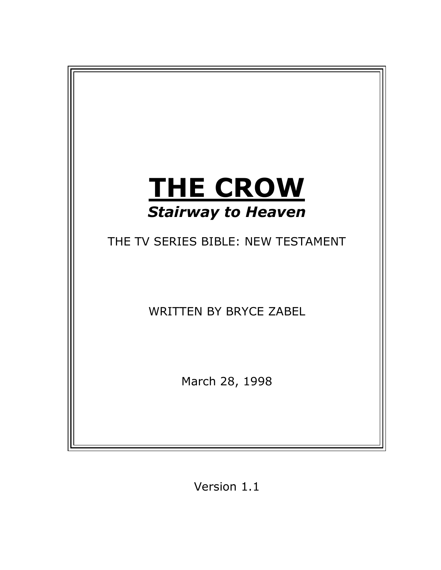

Version 1.1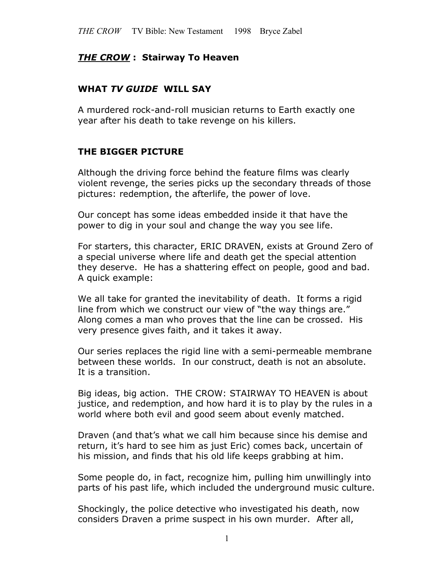#### *THE CROW* **: Stairway To Heaven**

#### **WHAT** *TV GUIDE* **WILL SAY**

A murdered rock-and-roll musician returns to Earth exactly one year after his death to take revenge on his killers.

#### **THE BIGGER PICTURE**

Although the driving force behind the feature films was clearly violent revenge, the series picks up the secondary threads of those pictures: redemption, the afterlife, the power of love.

Our concept has some ideas embedded inside it that have the power to dig in your soul and change the way you see life.

For starters, this character, ERIC DRAVEN, exists at Ground Zero of a special universe where life and death get the special attention they deserve. He has a shattering effect on people, good and bad. A quick example:

We all take for granted the inevitability of death. It forms a rigid line from which we construct our view of "the way things are." Along comes a man who proves that the line can be crossed. His very presence gives faith, and it takes it away.

Our series replaces the rigid line with a semi-permeable membrane between these worlds. In our construct, death is not an absolute. It is a transition.

Big ideas, big action. THE CROW: STAIRWAY TO HEAVEN is about justice, and redemption, and how hard it is to play by the rules in a world where both evil and good seem about evenly matched.

Draven (and that's what we call him because since his demise and return, it's hard to see him as just Eric) comes back, uncertain of his mission, and finds that his old life keeps grabbing at him.

Some people do, in fact, recognize him, pulling him unwillingly into parts of his past life, which included the underground music culture.

Shockingly, the police detective who investigated his death, now considers Draven a prime suspect in his own murder. After all,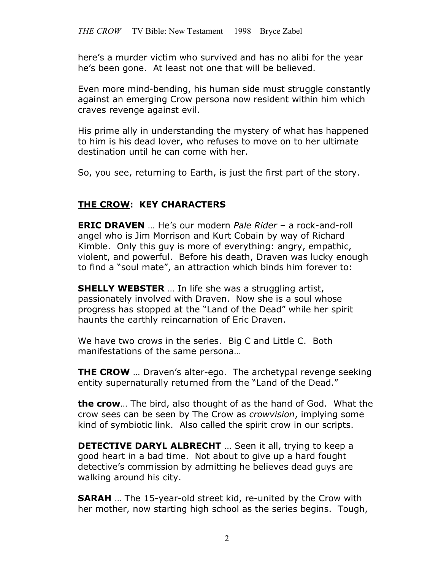here's a murder victim who survived and has no alibi for the year he's been gone. At least not one that will be believed.

Even more mind-bending, his human side must struggle constantly against an emerging Crow persona now resident within him which craves revenge against evil.

His prime ally in understanding the mystery of what has happened to him is his dead lover, who refuses to move on to her ultimate destination until he can come with her.

So, you see, returning to Earth, is just the first part of the story.

# **THE CROW: KEY CHARACTERS**

**ERIC DRAVEN** … He's our modern *Pale Rider* – a rock-and-roll angel who is Jim Morrison and Kurt Cobain by way of Richard Kimble. Only this guy is more of everything: angry, empathic, violent, and powerful. Before his death, Draven was lucky enough to find a "soul mate", an attraction which binds him forever to:

**SHELLY WEBSTER** … In life she was a struggling artist, passionately involved with Draven. Now she is a soul whose progress has stopped at the "Land of the Dead" while her spirit haunts the earthly reincarnation of Eric Draven.

We have two crows in the series. Big C and Little C. Both manifestations of the same persona…

**THE CROW** … Draven's alter-ego. The archetypal revenge seeking entity supernaturally returned from the "Land of the Dead."

**the crow**… The bird, also thought of as the hand of God. What the crow sees can be seen by The Crow as *crowvision*, implying some kind of symbiotic link. Also called the spirit crow in our scripts.

**DETECTIVE DARYL ALBRECHT** … Seen it all, trying to keep a good heart in a bad time. Not about to give up a hard fought detective's commission by admitting he believes dead guys are walking around his city.

**SARAH** … The 15-year-old street kid, re-united by the Crow with her mother, now starting high school as the series begins. Tough,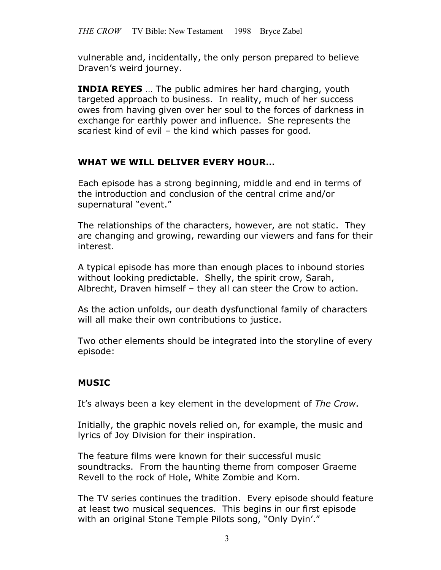vulnerable and, incidentally, the only person prepared to believe Draven's weird journey.

**INDIA REYES** … The public admires her hard charging, youth targeted approach to business. In reality, much of her success owes from having given over her soul to the forces of darkness in exchange for earthly power and influence. She represents the scariest kind of evil – the kind which passes for good.

# **WHAT WE WILL DELIVER EVERY HOUR…**

Each episode has a strong beginning, middle and end in terms of the introduction and conclusion of the central crime and/or supernatural "event."

The relationships of the characters, however, are not static. They are changing and growing, rewarding our viewers and fans for their interest.

A typical episode has more than enough places to inbound stories without looking predictable. Shelly, the spirit crow, Sarah, Albrecht, Draven himself – they all can steer the Crow to action.

As the action unfolds, our death dysfunctional family of characters will all make their own contributions to justice.

Two other elements should be integrated into the storyline of every episode:

# **MUSIC**

It's always been a key element in the development of *The Crow*.

Initially, the graphic novels relied on, for example, the music and lyrics of Joy Division for their inspiration.

The feature films were known for their successful music soundtracks. From the haunting theme from composer Graeme Revell to the rock of Hole, White Zombie and Korn.

The TV series continues the tradition. Every episode should feature at least two musical sequences. This begins in our first episode with an original Stone Temple Pilots song, "Only Dyin'."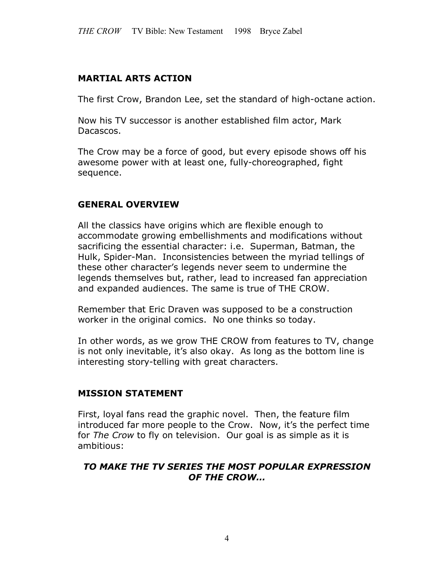#### **MARTIAL ARTS ACTION**

The first Crow, Brandon Lee, set the standard of high-octane action.

Now his TV successor is another established film actor, Mark Dacascos.

The Crow may be a force of good, but every episode shows off his awesome power with at least one, fully-choreographed, fight sequence.

#### **GENERAL OVERVIEW**

All the classics have origins which are flexible enough to accommodate growing embellishments and modifications without sacrificing the essential character: i.e. Superman, Batman, the Hulk, Spider-Man. Inconsistencies between the myriad tellings of these other character's legends never seem to undermine the legends themselves but, rather, lead to increased fan appreciation and expanded audiences. The same is true of THE CROW.

Remember that Eric Draven was supposed to be a construction worker in the original comics. No one thinks so today.

In other words, as we grow THE CROW from features to TV, change is not only inevitable, it's also okay. As long as the bottom line is interesting story-telling with great characters.

#### **MISSION STATEMENT**

First, loyal fans read the graphic novel. Then, the feature film introduced far more people to the Crow. Now, it's the perfect time for *The Crow* to fly on television. Our goal is as simple as it is ambitious:

#### *TO MAKE THE TV SERIES THE MOST POPULAR EXPRESSION OF THE CROW…*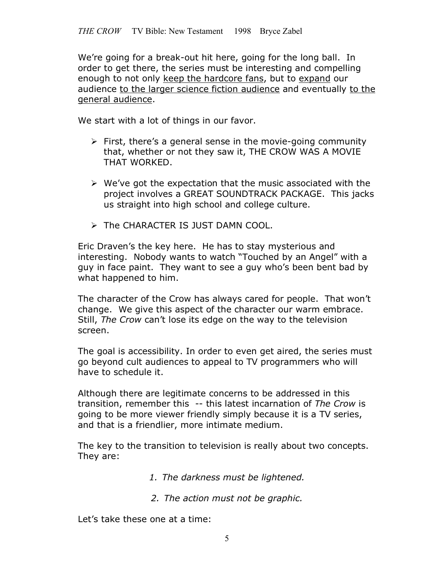We're going for a break-out hit here, going for the long ball. In order to get there, the series must be interesting and compelling enough to not only keep the hardcore fans, but to expand our audience to the larger science fiction audience and eventually to the general audience.

We start with a lot of things in our favor.

- $\triangleright$  First, there's a general sense in the movie-going community that, whether or not they saw it, THE CROW WAS A MOVIE THAT WORKED.
- $\triangleright$  We've got the expectation that the music associated with the project involves a GREAT SOUNDTRACK PACKAGE. This jacks us straight into high school and college culture.
- The CHARACTER IS JUST DAMN COOL.

Eric Draven's the key here. He has to stay mysterious and interesting. Nobody wants to watch "Touched by an Angel" with a guy in face paint. They want to see a guy who's been bent bad by what happened to him.

The character of the Crow has always cared for people. That won't change. We give this aspect of the character our warm embrace. Still, *The Crow* can't lose its edge on the way to the television screen.

The goal is accessibility. In order to even get aired, the series must go beyond cult audiences to appeal to TV programmers who will have to schedule it.

Although there are legitimate concerns to be addressed in this transition, remember this -- this latest incarnation of *The Crow* is going to be more viewer friendly simply because it is a TV series, and that is a friendlier, more intimate medium.

The key to the transition to television is really about two concepts. They are:

- *1. The darkness must be lightened.*
- *2. The action must not be graphic.*

Let's take these one at a time: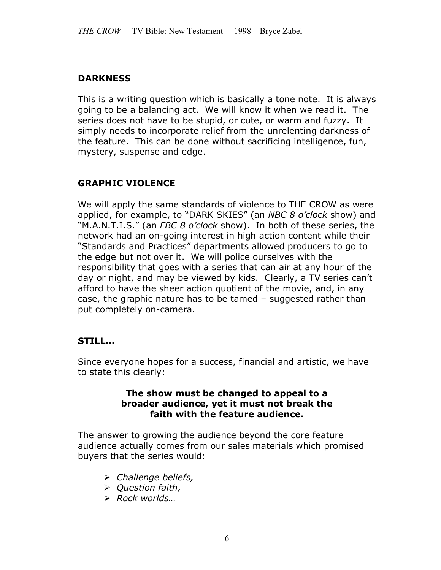# **DARKNESS**

This is a writing question which is basically a tone note. It is always going to be a balancing act. We will know it when we read it. The series does not have to be stupid, or cute, or warm and fuzzy. It simply needs to incorporate relief from the unrelenting darkness of the feature. This can be done without sacrificing intelligence, fun, mystery, suspense and edge.

# **GRAPHIC VIOLENCE**

We will apply the same standards of violence to THE CROW as were applied, for example, to "DARK SKIES" (an *NBC 8 o'clock* show) and "M.A.N.T.I.S." (an *FBC 8 o'clock* show). In both of these series, the network had an on-going interest in high action content while their "Standards and Practices" departments allowed producers to go to the edge but not over it. We will police ourselves with the responsibility that goes with a series that can air at any hour of the day or night, and may be viewed by kids. Clearly, a TV series can't afford to have the sheer action quotient of the movie, and, in any case, the graphic nature has to be tamed – suggested rather than put completely on-camera.

# **STILL…**

Since everyone hopes for a success, financial and artistic, we have to state this clearly:

#### **The show must be changed to appeal to a broader audience, yet it must not break the faith with the feature audience.**

The answer to growing the audience beyond the core feature audience actually comes from our sales materials which promised buyers that the series would:

- *Challenge beliefs,*
- *Question faith,*
- *Rock worlds…*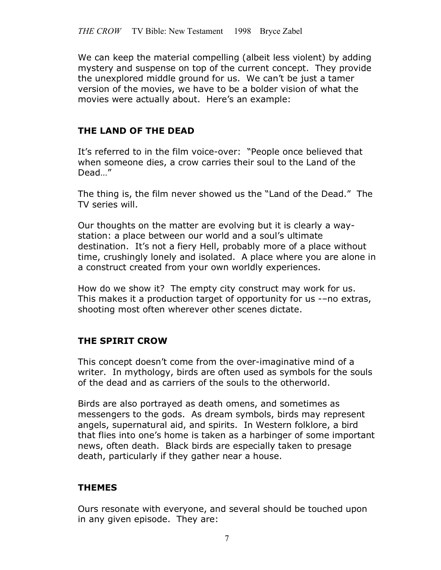We can keep the material compelling (albeit less violent) by adding mystery and suspense on top of the current concept. They provide the unexplored middle ground for us. We can't be just a tamer version of the movies, we have to be a bolder vision of what the movies were actually about. Here's an example:

# **THE LAND OF THE DEAD**

It's referred to in the film voice-over: "People once believed that when someone dies, a crow carries their soul to the Land of the Dead…"

The thing is, the film never showed us the "Land of the Dead." The TV series will.

Our thoughts on the matter are evolving but it is clearly a waystation: a place between our world and a soul's ultimate destination. It's not a fiery Hell, probably more of a place without time, crushingly lonely and isolated. A place where you are alone in a construct created from your own worldly experiences.

How do we show it? The empty city construct may work for us. This makes it a production target of opportunity for us -–no extras, shooting most often wherever other scenes dictate.

# **THE SPIRIT CROW**

This concept doesn't come from the over-imaginative mind of a writer. In mythology, birds are often used as symbols for the souls of the dead and as carriers of the souls to the otherworld.

Birds are also portrayed as death omens, and sometimes as messengers to the gods. As dream symbols, birds may represent angels, supernatural aid, and spirits. In Western folklore, a bird that flies into one's home is taken as a harbinger of some important news, often death. Black birds are especially taken to presage death, particularly if they gather near a house.

# **THEMES**

Ours resonate with everyone, and several should be touched upon in any given episode. They are: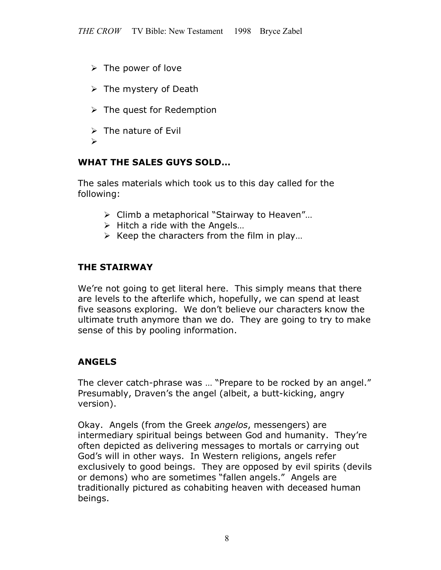- $\triangleright$  The power of love
- $\triangleright$  The mystery of Death
- $\triangleright$  The quest for Redemption
- $\triangleright$  The nature of Evil
- $\blacktriangleright$

# **WHAT THE SALES GUYS SOLD…**

The sales materials which took us to this day called for the following:

- Climb a metaphorical "Stairway to Heaven"…
- $\triangleright$  Hitch a ride with the Angels...
- $\triangleright$  Keep the characters from the film in play...

# **THE STAIRWAY**

We're not going to get literal here. This simply means that there are levels to the afterlife which, hopefully, we can spend at least five seasons exploring. We don't believe our characters know the ultimate truth anymore than we do. They are going to try to make sense of this by pooling information.

# **ANGELS**

The clever catch-phrase was … "Prepare to be rocked by an angel." Presumably, Draven's the angel (albeit, a butt-kicking, angry version).

Okay. Angels (from the Greek *angelos*, messengers) are intermediary spiritual beings between God and humanity. They're often depicted as delivering messages to mortals or carrying out God's will in other ways. In Western religions, angels refer exclusively to good beings. They are opposed by evil spirits (devils or demons) who are sometimes "fallen angels." Angels are traditionally pictured as cohabiting heaven with deceased human beings.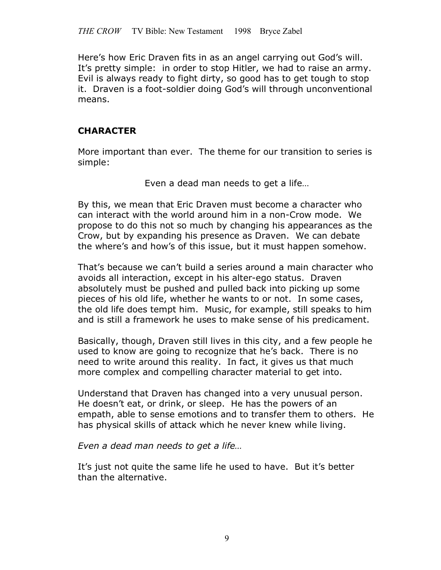Here's how Eric Draven fits in as an angel carrying out God's will. It's pretty simple: in order to stop Hitler, we had to raise an army. Evil is always ready to fight dirty, so good has to get tough to stop it. Draven is a foot-soldier doing God's will through unconventional means.

#### **CHARACTER**

More important than ever. The theme for our transition to series is simple:

Even a dead man needs to get a life…

By this, we mean that Eric Draven must become a character who can interact with the world around him in a non-Crow mode. We propose to do this not so much by changing his appearances as the Crow, but by expanding his presence as Draven. We can debate the where's and how's of this issue, but it must happen somehow.

That's because we can't build a series around a main character who avoids all interaction, except in his alter-ego status. Draven absolutely must be pushed and pulled back into picking up some pieces of his old life, whether he wants to or not. In some cases, the old life does tempt him. Music, for example, still speaks to him and is still a framework he uses to make sense of his predicament.

Basically, though, Draven still lives in this city, and a few people he used to know are going to recognize that he's back. There is no need to write around this reality. In fact, it gives us that much more complex and compelling character material to get into.

Understand that Draven has changed into a very unusual person. He doesn't eat, or drink, or sleep. He has the powers of an empath, able to sense emotions and to transfer them to others. He has physical skills of attack which he never knew while living.

*Even a dead man needs to get a life…*

It's just not quite the same life he used to have. But it's better than the alternative.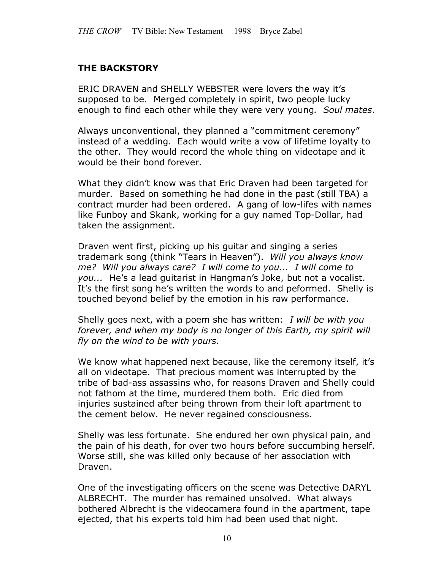# **THE BACKSTORY**

ERIC DRAVEN and SHELLY WEBSTER were lovers the way it's supposed to be. Merged completely in spirit, two people lucky enough to find each other while they were very young*. Soul mates*.

Always unconventional, they planned a "commitment ceremony" instead of a wedding. Each would write a vow of lifetime loyalty to the other. They would record the whole thing on videotape and it would be their bond forever.

What they didn't know was that Eric Draven had been targeted for murder. Based on something he had done in the past (still TBA) a contract murder had been ordered. A gang of low-lifes with names like Funboy and Skank, working for a guy named Top-Dollar, had taken the assignment.

Draven went first, picking up his guitar and singing a series trademark song (think "Tears in Heaven"). *Will you always know me? Will you always care? I will come to you... I will come to you...* He's a lead guitarist in Hangman's Joke, but not a vocalist. It's the first song he's written the words to and peformed. Shelly is touched beyond belief by the emotion in his raw performance.

Shelly goes next, with a poem she has written: *I will be with you forever, and when my body is no longer of this Earth, my spirit will fly on the wind to be with yours.*

We know what happened next because, like the ceremony itself, it's all on videotape. That precious moment was interrupted by the tribe of bad-ass assassins who, for reasons Draven and Shelly could not fathom at the time, murdered them both. Eric died from injuries sustained after being thrown from their loft apartment to the cement below. He never regained consciousness.

Shelly was less fortunate. She endured her own physical pain, and the pain of his death, for over two hours before succumbing herself. Worse still, she was killed only because of her association with Draven.

One of the investigating officers on the scene was Detective DARYL ALBRECHT. The murder has remained unsolved. What always bothered Albrecht is the videocamera found in the apartment, tape ejected, that his experts told him had been used that night.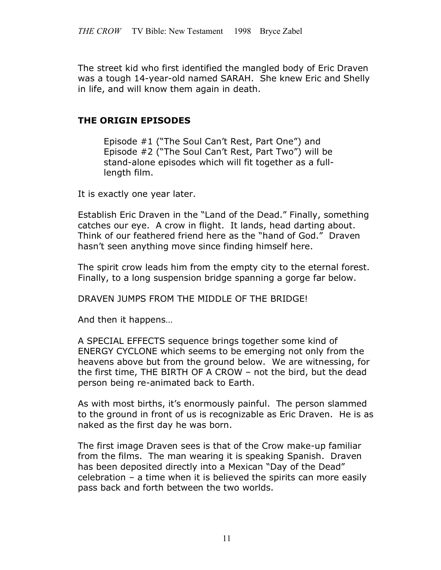The street kid who first identified the mangled body of Eric Draven was a tough 14-year-old named SARAH. She knew Eric and Shelly in life, and will know them again in death.

#### **THE ORIGIN EPISODES**

Episode #1 ("The Soul Can't Rest, Part One") and Episode #2 ("The Soul Can't Rest, Part Two") will be stand-alone episodes which will fit together as a fulllength film.

It is exactly one year later.

Establish Eric Draven in the "Land of the Dead." Finally, something catches our eye. A crow in flight. It lands, head darting about. Think of our feathered friend here as the "hand of God." Draven hasn't seen anything move since finding himself here.

The spirit crow leads him from the empty city to the eternal forest. Finally, to a long suspension bridge spanning a gorge far below.

DRAVEN JUMPS FROM THE MIDDLE OF THE BRIDGE!

And then it happens…

A SPECIAL EFFECTS sequence brings together some kind of ENERGY CYCLONE which seems to be emerging not only from the heavens above but from the ground below. We are witnessing, for the first time, THE BIRTH OF A CROW – not the bird, but the dead person being re-animated back to Earth.

As with most births, it's enormously painful. The person slammed to the ground in front of us is recognizable as Eric Draven. He is as naked as the first day he was born.

The first image Draven sees is that of the Crow make-up familiar from the films. The man wearing it is speaking Spanish. Draven has been deposited directly into a Mexican "Day of the Dead" celebration – a time when it is believed the spirits can more easily pass back and forth between the two worlds.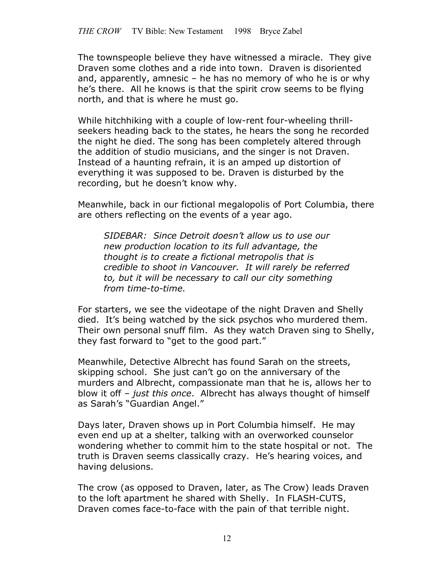The townspeople believe they have witnessed a miracle. They give Draven some clothes and a ride into town. Draven is disoriented and, apparently, amnesic – he has no memory of who he is or why he's there. All he knows is that the spirit crow seems to be flying north, and that is where he must go.

While hitchhiking with a couple of low-rent four-wheeling thrillseekers heading back to the states, he hears the song he recorded the night he died. The song has been completely altered through the addition of studio musicians, and the singer is not Draven. Instead of a haunting refrain, it is an amped up distortion of everything it was supposed to be. Draven is disturbed by the recording, but he doesn't know why.

Meanwhile, back in our fictional megalopolis of Port Columbia, there are others reflecting on the events of a year ago.

*SIDEBAR: Since Detroit doesn't allow us to use our new production location to its full advantage, the thought is to create a fictional metropolis that is credible to shoot in Vancouver. It will rarely be referred to, but it will be necessary to call our city something from time-to-time.*

For starters, we see the videotape of the night Draven and Shelly died. It's being watched by the sick psychos who murdered them. Their own personal snuff film. As they watch Draven sing to Shelly, they fast forward to "get to the good part."

Meanwhile, Detective Albrecht has found Sarah on the streets, skipping school. She just can't go on the anniversary of the murders and Albrecht, compassionate man that he is, allows her to blow it off – *just this once*. Albrecht has always thought of himself as Sarah's "Guardian Angel."

Days later, Draven shows up in Port Columbia himself. He may even end up at a shelter, talking with an overworked counselor wondering whether to commit him to the state hospital or not. The truth is Draven seems classically crazy. He's hearing voices, and having delusions.

The crow (as opposed to Draven, later, as The Crow) leads Draven to the loft apartment he shared with Shelly. In FLASH-CUTS, Draven comes face-to-face with the pain of that terrible night.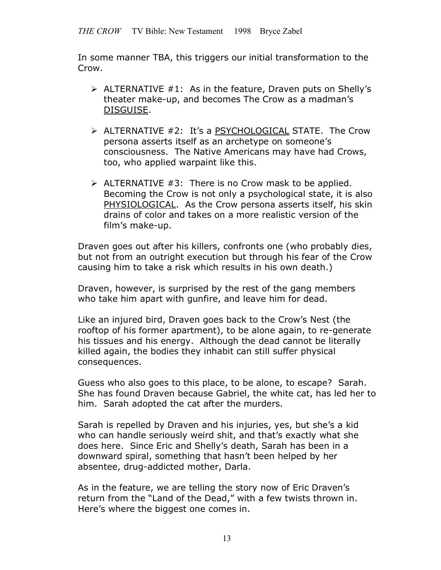In some manner TBA, this triggers our initial transformation to the Crow.

- $\triangleright$  ALTERNATIVE #1: As in the feature, Draven puts on Shelly's theater make-up, and becomes The Crow as a madman's DISGUISE.
- $\triangleright$  ALTERNATIVE #2: It's a PSYCHOLOGICAL STATE. The Crow persona asserts itself as an archetype on someone's consciousness. The Native Americans may have had Crows, too, who applied warpaint like this.
- $\triangleright$  ALTERNATIVE #3: There is no Crow mask to be applied. Becoming the Crow is not only a psychological state, it is also PHYSIOLOGICAL. As the Crow persona asserts itself, his skin drains of color and takes on a more realistic version of the film's make-up.

Draven goes out after his killers, confronts one (who probably dies, but not from an outright execution but through his fear of the Crow causing him to take a risk which results in his own death.)

Draven, however, is surprised by the rest of the gang members who take him apart with gunfire, and leave him for dead.

Like an injured bird, Draven goes back to the Crow's Nest (the rooftop of his former apartment), to be alone again, to re-generate his tissues and his energy. Although the dead cannot be literally killed again, the bodies they inhabit can still suffer physical consequences.

Guess who also goes to this place, to be alone, to escape? Sarah. She has found Draven because Gabriel, the white cat, has led her to him. Sarah adopted the cat after the murders.

Sarah is repelled by Draven and his injuries, yes, but she's a kid who can handle seriously weird shit, and that's exactly what she does here. Since Eric and Shelly's death, Sarah has been in a downward spiral, something that hasn't been helped by her absentee, drug-addicted mother, Darla.

As in the feature, we are telling the story now of Eric Draven's return from the "Land of the Dead," with a few twists thrown in. Here's where the biggest one comes in.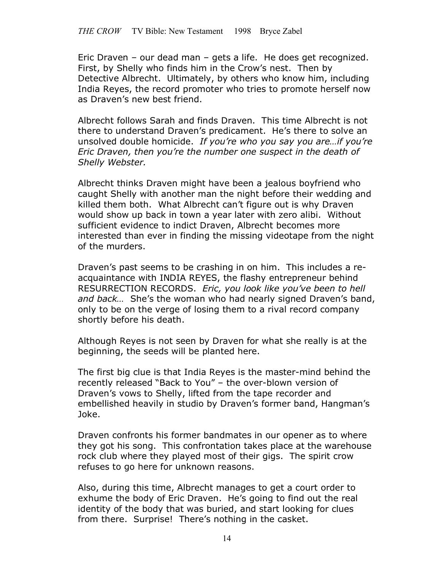Eric Draven – our dead man – gets a life. He does get recognized. First, by Shelly who finds him in the Crow's nest. Then by Detective Albrecht. Ultimately, by others who know him, including India Reyes, the record promoter who tries to promote herself now as Draven's new best friend.

Albrecht follows Sarah and finds Draven. This time Albrecht is not there to understand Draven's predicament. He's there to solve an unsolved double homicide. *If you're who you say you are…if you're Eric Draven, then you're the number one suspect in the death of Shelly Webster.*

Albrecht thinks Draven might have been a jealous boyfriend who caught Shelly with another man the night before their wedding and killed them both. What Albrecht can't figure out is why Draven would show up back in town a year later with zero alibi. Without sufficient evidence to indict Draven, Albrecht becomes more interested than ever in finding the missing videotape from the night of the murders.

Draven's past seems to be crashing in on him. This includes a reacquaintance with INDIA REYES, the flashy entrepreneur behind RESURRECTION RECORDS. *Eric, you look like you've been to hell and back…* She's the woman who had nearly signed Draven's band, only to be on the verge of losing them to a rival record company shortly before his death.

Although Reyes is not seen by Draven for what she really is at the beginning, the seeds will be planted here.

The first big clue is that India Reyes is the master-mind behind the recently released "Back to You" – the over-blown version of Draven's vows to Shelly, lifted from the tape recorder and embellished heavily in studio by Draven's former band, Hangman's Joke.

Draven confronts his former bandmates in our opener as to where they got his song. This confrontation takes place at the warehouse rock club where they played most of their gigs. The spirit crow refuses to go here for unknown reasons.

Also, during this time, Albrecht manages to get a court order to exhume the body of Eric Draven. He's going to find out the real identity of the body that was buried, and start looking for clues from there. Surprise! There's nothing in the casket.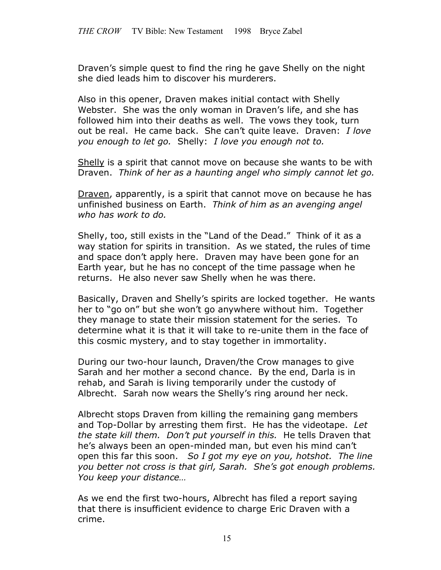Draven's simple quest to find the ring he gave Shelly on the night she died leads him to discover his murderers.

Also in this opener, Draven makes initial contact with Shelly Webster. She was the only woman in Draven's life, and she has followed him into their deaths as well. The vows they took, turn out be real. He came back. She can't quite leave. Draven: *I love you enough to let go.* Shelly: *I love you enough not to.*

Shelly is a spirit that cannot move on because she wants to be with Draven. *Think of her as a haunting angel who simply cannot let go.*

Draven, apparently, is a spirit that cannot move on because he has unfinished business on Earth. *Think of him as an avenging angel who has work to do.*

Shelly, too, still exists in the "Land of the Dead." Think of it as a way station for spirits in transition. As we stated, the rules of time and space don't apply here. Draven may have been gone for an Earth year, but he has no concept of the time passage when he returns. He also never saw Shelly when he was there.

Basically, Draven and Shelly's spirits are locked together. He wants her to "go on" but she won't go anywhere without him. Together they manage to state their mission statement for the series. To determine what it is that it will take to re-unite them in the face of this cosmic mystery, and to stay together in immortality.

During our two-hour launch, Draven/the Crow manages to give Sarah and her mother a second chance. By the end, Darla is in rehab, and Sarah is living temporarily under the custody of Albrecht. Sarah now wears the Shelly's ring around her neck.

Albrecht stops Draven from killing the remaining gang members and Top-Dollar by arresting them first. He has the videotape. *Let the state kill them. Don't put yourself in this.* He tells Draven that he's always been an open-minded man, but even his mind can't open this far this soon. *So I got my eye on you, hotshot. The line you better not cross is that girl, Sarah. She's got enough problems. You keep your distance…*

As we end the first two-hours, Albrecht has filed a report saying that there is insufficient evidence to charge Eric Draven with a crime.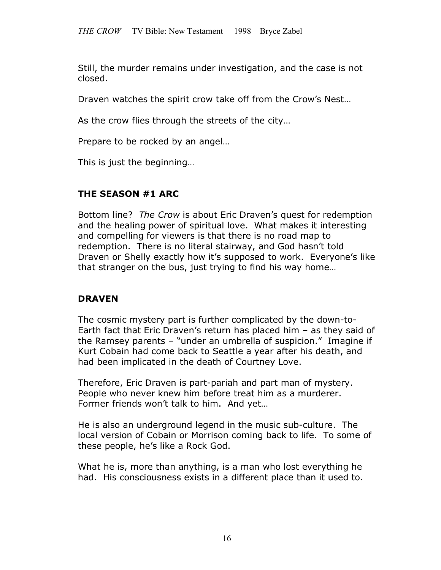Still, the murder remains under investigation, and the case is not closed.

Draven watches the spirit crow take off from the Crow's Nest…

As the crow flies through the streets of the city…

Prepare to be rocked by an angel…

This is just the beginning…

#### **THE SEASON #1 ARC**

Bottom line? *The Crow* is about Eric Draven's quest for redemption and the healing power of spiritual love. What makes it interesting and compelling for viewers is that there is no road map to redemption. There is no literal stairway, and God hasn't told Draven or Shelly exactly how it's supposed to work. Everyone's like that stranger on the bus, just trying to find his way home…

#### **DRAVEN**

The cosmic mystery part is further complicated by the down-to-Earth fact that Eric Draven's return has placed him – as they said of the Ramsey parents – "under an umbrella of suspicion." Imagine if Kurt Cobain had come back to Seattle a year after his death, and had been implicated in the death of Courtney Love.

Therefore, Eric Draven is part-pariah and part man of mystery. People who never knew him before treat him as a murderer. Former friends won't talk to him. And yet…

He is also an underground legend in the music sub-culture. The local version of Cobain or Morrison coming back to life. To some of these people, he's like a Rock God.

What he is, more than anything, is a man who lost everything he had. His consciousness exists in a different place than it used to.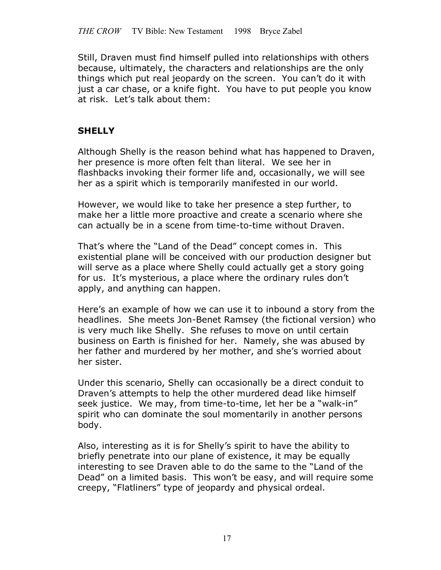Still, Draven must find himself pulled into relationships with others because, ultimately, the characters and relationships are the only things which put real jeopardy on the screen. You can't do it with just a car chase, or a knife fight. You have to put people you know at risk. Let's talk about them:

# **SHELLY**

Although Shelly is the reason behind what has happened to Draven, her presence is more often felt than literal. We see her in flashbacks invoking their former life and, occasionally, we will see her as a spirit which is temporarily manifested in our world.

However, we would like to take her presence a step further, to make her a little more proactive and create a scenario where she can actually be in a scene from time-to-time without Draven.

That's where the "Land of the Dead" concept comes in. This existential plane will be conceived with our production designer but will serve as a place where Shelly could actually get a story going for us. It's mysterious, a place where the ordinary rules don't apply, and anything can happen.

Here's an example of how we can use it to inbound a story from the headlines. She meets Jon-Benet Ramsey (the fictional version) who is very much like Shelly. She refuses to move on until certain business on Earth is finished for her. Namely, she was abused by her father and murdered by her mother, and she's worried about her sister.

Under this scenario, Shelly can occasionally be a direct conduit to Draven's attempts to help the other murdered dead like himself seek justice. We may, from time-to-time, let her be a "walk-in" spirit who can dominate the soul momentarily in another persons body.

Also, interesting as it is for Shelly's spirit to have the ability to briefly penetrate into our plane of existence, it may be equally interesting to see Draven able to do the same to the "Land of the Dead" on a limited basis. This won't be easy, and will require some creepy, "Flatliners" type of jeopardy and physical ordeal.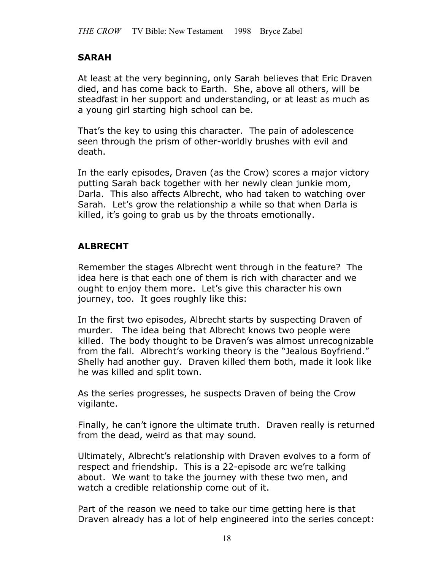# **SARAH**

At least at the very beginning, only Sarah believes that Eric Draven died, and has come back to Earth. She, above all others, will be steadfast in her support and understanding, or at least as much as a young girl starting high school can be.

That's the key to using this character. The pain of adolescence seen through the prism of other-worldly brushes with evil and death.

In the early episodes, Draven (as the Crow) scores a major victory putting Sarah back together with her newly clean junkie mom, Darla. This also affects Albrecht, who had taken to watching over Sarah. Let's grow the relationship a while so that when Darla is killed, it's going to grab us by the throats emotionally.

# **ALBRECHT**

Remember the stages Albrecht went through in the feature? The idea here is that each one of them is rich with character and we ought to enjoy them more. Let's give this character his own journey, too. It goes roughly like this:

In the first two episodes, Albrecht starts by suspecting Draven of murder. The idea being that Albrecht knows two people were killed. The body thought to be Draven's was almost unrecognizable from the fall. Albrecht's working theory is the "Jealous Boyfriend." Shelly had another guy. Draven killed them both, made it look like he was killed and split town.

As the series progresses, he suspects Draven of being the Crow vigilante.

Finally, he can't ignore the ultimate truth. Draven really is returned from the dead, weird as that may sound.

Ultimately, Albrecht's relationship with Draven evolves to a form of respect and friendship. This is a 22-episode arc we're talking about. We want to take the journey with these two men, and watch a credible relationship come out of it.

Part of the reason we need to take our time getting here is that Draven already has a lot of help engineered into the series concept: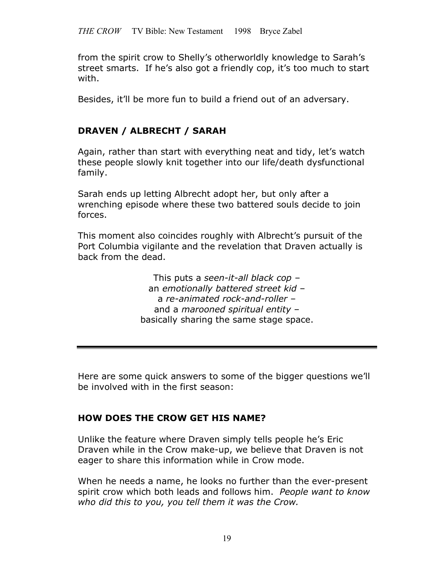from the spirit crow to Shelly's otherworldly knowledge to Sarah's street smarts. If he's also got a friendly cop, it's too much to start with.

Besides, it'll be more fun to build a friend out of an adversary.

# **DRAVEN / ALBRECHT / SARAH**

Again, rather than start with everything neat and tidy, let's watch these people slowly knit together into our life/death dysfunctional family.

Sarah ends up letting Albrecht adopt her, but only after a wrenching episode where these two battered souls decide to join forces.

This moment also coincides roughly with Albrecht's pursuit of the Port Columbia vigilante and the revelation that Draven actually is back from the dead.

> This puts a *seen-it-all black cop* – an *emotionally battered street kid* – a *re-animated rock-and-roller* – and a *marooned spiritual entity* – basically sharing the same stage space.

Here are some quick answers to some of the bigger questions we'll be involved with in the first season:

# **HOW DOES THE CROW GET HIS NAME?**

Unlike the feature where Draven simply tells people he's Eric Draven while in the Crow make-up, we believe that Draven is not eager to share this information while in Crow mode.

When he needs a name, he looks no further than the ever-present spirit crow which both leads and follows him. *People want to know who did this to you, you tell them it was the Crow.*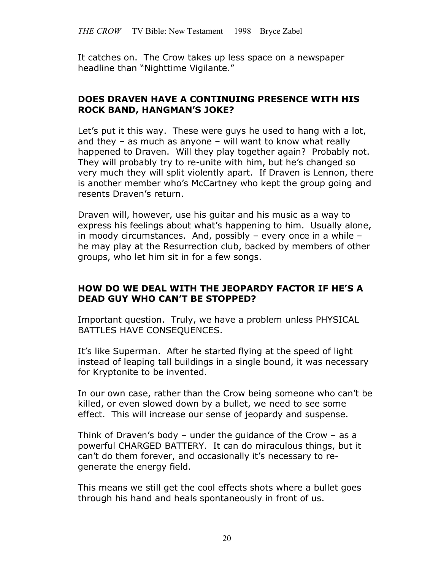It catches on. The Crow takes up less space on a newspaper headline than "Nighttime Vigilante."

#### **DOES DRAVEN HAVE A CONTINUING PRESENCE WITH HIS ROCK BAND, HANGMAN'S JOKE?**

Let's put it this way. These were guys he used to hang with a lot, and they  $-$  as much as anyone  $-$  will want to know what really happened to Draven. Will they play together again? Probably not. They will probably try to re-unite with him, but he's changed so very much they will split violently apart. If Draven is Lennon, there is another member who's McCartney who kept the group going and resents Draven's return.

Draven will, however, use his guitar and his music as a way to express his feelings about what's happening to him. Usually alone, in moody circumstances. And, possibly – every once in a while – he may play at the Resurrection club, backed by members of other groups, who let him sit in for a few songs.

#### **HOW DO WE DEAL WITH THE JEOPARDY FACTOR IF HE'S A DEAD GUY WHO CAN'T BE STOPPED?**

Important question. Truly, we have a problem unless PHYSICAL BATTLES HAVE CONSEQUENCES.

It's like Superman. After he started flying at the speed of light instead of leaping tall buildings in a single bound, it was necessary for Kryptonite to be invented.

In our own case, rather than the Crow being someone who can't be killed, or even slowed down by a bullet, we need to see some effect. This will increase our sense of jeopardy and suspense.

Think of Draven's body – under the guidance of the Crow – as a powerful CHARGED BATTERY. It can do miraculous things, but it can't do them forever, and occasionally it's necessary to regenerate the energy field.

This means we still get the cool effects shots where a bullet goes through his hand and heals spontaneously in front of us.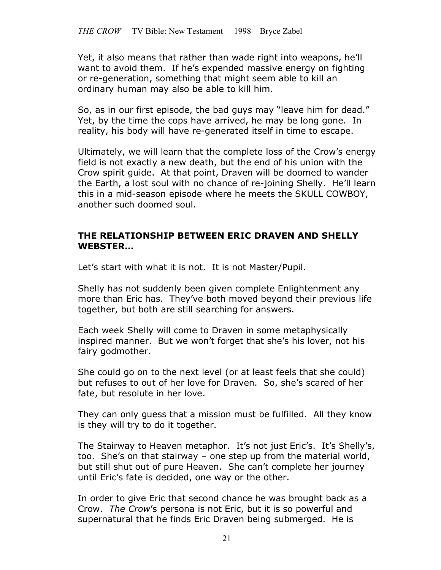Yet, it also means that rather than wade right into weapons, he'll want to avoid them. If he's expended massive energy on fighting or re-generation, something that might seem able to kill an ordinary human may also be able to kill him.

So, as in our first episode, the bad guys may "leave him for dead." Yet, by the time the cops have arrived, he may be long gone. In reality, his body will have re-generated itself in time to escape.

Ultimately, we will learn that the complete loss of the Crow's energy field is not exactly a new death, but the end of his union with the Crow spirit guide. At that point, Draven will be doomed to wander the Earth, a lost soul with no chance of re-joining Shelly. He'll learn this in a mid-season episode where he meets the SKULL COWBOY, another such doomed soul.

#### **THE RELATIONSHIP BETWEEN ERIC DRAVEN AND SHELLY WEBSTER…**

Let's start with what it is not. It is not Master/Pupil.

Shelly has not suddenly been given complete Enlightenment any more than Eric has. They've both moved beyond their previous life together, but both are still searching for answers.

Each week Shelly will come to Draven in some metaphysically inspired manner. But we won't forget that she's his lover, not his fairy godmother.

She could go on to the next level (or at least feels that she could) but refuses to out of her love for Draven. So, she's scared of her fate, but resolute in her love.

They can only guess that a mission must be fulfilled. All they know is they will try to do it together.

The Stairway to Heaven metaphor. It's not just Eric's. It's Shelly's, too. She's on that stairway – one step up from the material world, but still shut out of pure Heaven. She can't complete her journey until Eric's fate is decided, one way or the other.

In order to give Eric that second chance he was brought back as a Crow. *The Crow*'s persona is not Eric, but it is so powerful and supernatural that he finds Eric Draven being submerged. He is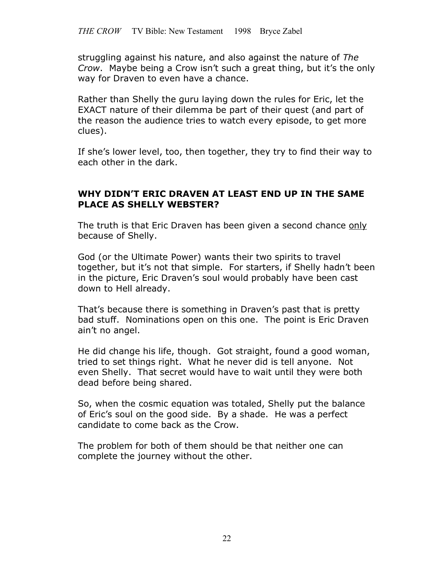struggling against his nature, and also against the nature of *The Crow*. Maybe being a Crow isn't such a great thing, but it's the only way for Draven to even have a chance.

Rather than Shelly the guru laying down the rules for Eric, let the EXACT nature of their dilemma be part of their quest (and part of the reason the audience tries to watch every episode, to get more clues).

If she's lower level, too, then together, they try to find their way to each other in the dark.

#### **WHY DIDN'T ERIC DRAVEN AT LEAST END UP IN THE SAME PLACE AS SHELLY WEBSTER?**

The truth is that Eric Draven has been given a second chance only because of Shelly.

God (or the Ultimate Power) wants their two spirits to travel together, but it's not that simple. For starters, if Shelly hadn't been in the picture, Eric Draven's soul would probably have been cast down to Hell already.

That's because there is something in Draven's past that is pretty bad stuff. Nominations open on this one. The point is Eric Draven ain't no angel.

He did change his life, though. Got straight, found a good woman, tried to set things right. What he never did is tell anyone. Not even Shelly. That secret would have to wait until they were both dead before being shared.

So, when the cosmic equation was totaled, Shelly put the balance of Eric's soul on the good side. By a shade. He was a perfect candidate to come back as the Crow.

The problem for both of them should be that neither one can complete the journey without the other.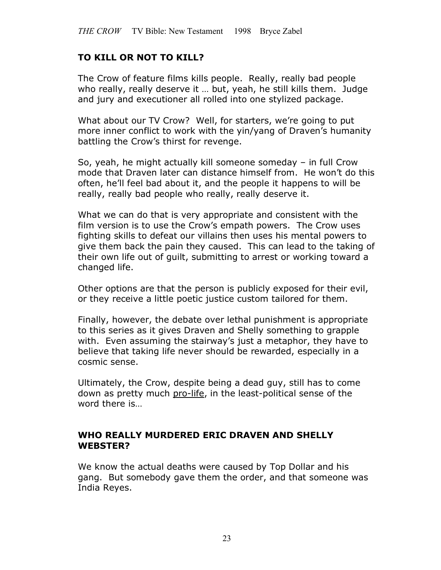# **TO KILL OR NOT TO KILL?**

The Crow of feature films kills people. Really, really bad people who really, really deserve it … but, yeah, he still kills them. Judge and jury and executioner all rolled into one stylized package.

What about our TV Crow? Well, for starters, we're going to put more inner conflict to work with the yin/yang of Draven's humanity battling the Crow's thirst for revenge.

So, yeah, he might actually kill someone someday – in full Crow mode that Draven later can distance himself from. He won't do this often, he'll feel bad about it, and the people it happens to will be really, really bad people who really, really deserve it.

What we can do that is very appropriate and consistent with the film version is to use the Crow's empath powers. The Crow uses fighting skills to defeat our villains then uses his mental powers to give them back the pain they caused. This can lead to the taking of their own life out of guilt, submitting to arrest or working toward a changed life.

Other options are that the person is publicly exposed for their evil, or they receive a little poetic justice custom tailored for them.

Finally, however, the debate over lethal punishment is appropriate to this series as it gives Draven and Shelly something to grapple with. Even assuming the stairway's just a metaphor, they have to believe that taking life never should be rewarded, especially in a cosmic sense.

Ultimately, the Crow, despite being a dead guy, still has to come down as pretty much pro-life, in the least-political sense of the word there is…

#### **WHO REALLY MURDERED ERIC DRAVEN AND SHELLY WEBSTER?**

We know the actual deaths were caused by Top Dollar and his gang. But somebody gave them the order, and that someone was India Reyes.